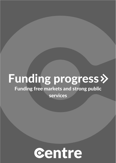# Funding progress»

## **Funding free markets and strong public**

services

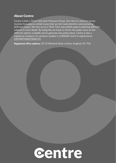### About Centre:

Centre is both a Think Tank and a Pressure Group. Our role as a pressure group involves focusing on certain issues that we feel need attention and promoting different causes. We also act as a Think Tank and publish papers exploring different subjects in more depth. By doing this we hope to inform the public more on the different options available and to generate new policy ideas. Centre is also a registered company; its company number is 12406687 and it is registered as [CENTRETHINKTANKLTD.](https://beta.companieshouse.gov.uk/company/12406687)

Registered office address: 20-22 Wenlock Road, London, England, N1 7GU

# centre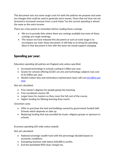This document sets out some rough costs for both the policies we propose and some tax changes that could be used to generate extra money. Given that we have not yet factored in increased revenue from a Land Value Tax the current spending is almost the same as the extra income.

There are a few points to remember before reading these costings:

- We try to provide links where there are costings available but most of these costings are rough workings.
- The reason we have released this document at such an early stage is to accompany our main vision document. It will help us to bring the spending ideas in that document in line with the taxes we would support changing.

### Spending per year:

Education spending (all policies are England only unless specified:

- Increased technology in schools costing £1 billion per year.
- Grants for schools offering GCSE's on arts and technology subjects max cost of £2 billion per year.
- Abolish tuition fees and reintroduce maintenance loans will cost  $E_6$  billion per [year.](https://ifs.org.uk/publications/14369)

Not yet calculated:

- Free master's degrees for people going into teaching.
- Free vocational courses UK.
- Larger loans for masters so they cover the full cost of the course.
- Higher funding for lifelong learning (how much).

Uncertain costs:

- Offer to purchase the land and buildings owned by government funded faith Schools which depends on take up.
- Replacing funding that was provided by trusts, religious groups or sponsors in schools.

Economy spending (UK wide unless stated):

Not yet calculated:

- National sovereign wealth fund with the percentage decided based on economic conditions.
- Exempting business with below £60,000 in profits.
- End the backdated IR35 (loan charge) tax.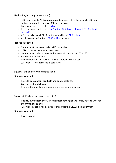Health (England only unless stated).

- (UK wide) Update NHS patient record storage with either a single UK wide system or multiple systems. £2 billion per year.
- Free social care will cost [£5 billion.](https://www.ippr.org/files/2021-03/state-of-health-and-care-mar21.pdf)
- Better mental health care "[The Strategy Unit have estimated £3](https://www.ippr.org/files/2021-03/state-of-health-and-care-mar21.pdf)–4 billion is [needed](https://www.ippr.org/files/2021-03/state-of-health-and-care-mar21.pdf)".
- A 5% pay rise for all NHS staff which will cost  $£1.7$  billion.
- Abolish prescription fees, [£750 million](https://www.kingsfund.org.uk/blog/2019/09/scrapping-prescription-charges) per year.

Not yet calculated:

- Mental health workers under NHS pay scales.
- CAMHS under the education system.
- Mental health referral units for business with less than 250 staff.
- An NHS Air Ambulance.
- Increase funding for 'back to nursing' courses with full pay.
- (UK wide) A long-term social care fund.

Equality (England only unless specified):

Not yet calculated:

- Provide free sanitary products and contraceptives.
- Cap the cost of childcare.
- Increase the quality and number of gender identity clinics.

Transport (England only unless specified):

- Publicly owned railways will cost almost nothing as we simply have to wait for the franchises to end.
- (UK wide) Invest in rail infrastructure across the UK £4 billion per year.

Not yet calculated:

• Invest in roads.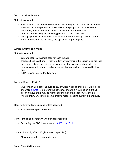#### Social security (UK wide):

Not yet calculated:

- A Guaranteed Minimum Income varies depending on the poverty level at the time and the unemployment rate or how many people are on low incomes. Therefore, the aim would be to make it revenue neutral with the administration savings of attaching payment to the tax system.
- Top-up systems including: Parental leave, retirement top-up, Carers top-up, Bereavement top-up, Disability top-up, Child support top-up.

#### Justice (England and Wales):

Not yet calculated:

- Larger prisons with single cells for each inmate.
- Increase Legal Aid Funds. This would involve reversing the cuts in legal aid that have taken place since 2010. This would be alongside reinstating help for cases involving family law and other areas that are no longer covered by legal aid.
- All Prisons Should be Publicly Run.

Foreign Affairs (UK wide):

- Our foreign aid budget Should be 1% of Gross National Income. If we look at the 2018 [figures](https://fullfact.org/economy/uk-spending-foreign-aid/) from before the pandemic then this would be an extra £6 billion although this may be higher depending on the economy at the time.
- Meet our NATO spending commitments means keeping current expenditure.

Housing (Only affects England unless specified):

• Expand the help to buy scheme.

Culture media and sport (UK wide unless specified):

• Scrapping the BBC licence fee was  $E$ 3.7bn in 2019.

Community (Only affects England unless specified):

• New or expanded community hubs.

Total: £36.45 billion a year.